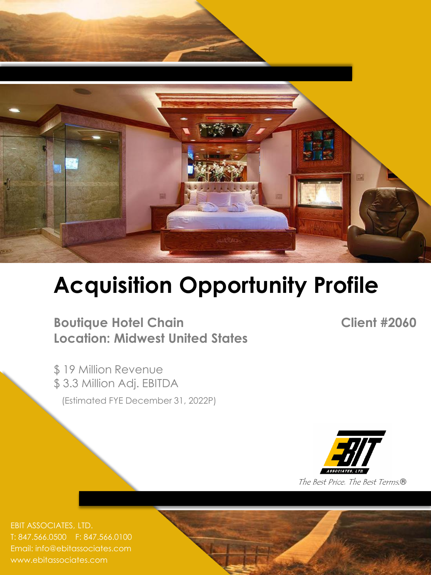

# **Acquisition Opportunity Profile**

**Boutique Hotel Chain Client #2060 Location: Midwest United States**

\$ 19 Million Revenue \$ 3.3 Million Adj. EBITDA (Estimated FYE December 31, 2022P)



T: 847.566.0500 F: 847.566.0100 Email: info@ebitassociates.com www.ebitassociates.com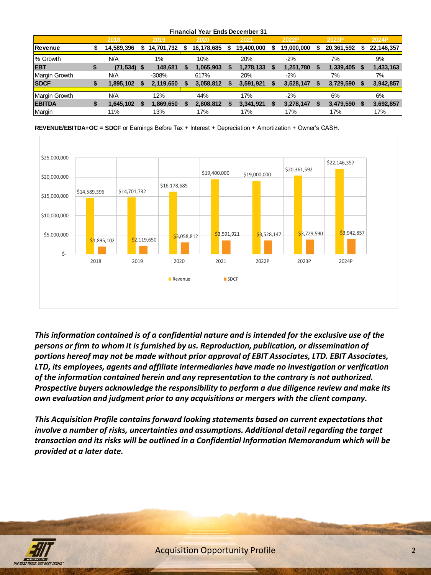| <b>Financial Year Ends December 31</b> |   |                |    |            |    |               |  |            |   |            |            |  |            |
|----------------------------------------|---|----------------|----|------------|----|---------------|--|------------|---|------------|------------|--|------------|
|                                        |   | 2018           |    | 2019       |    | 2020          |  | 2021       |   | 2022P      | 2023P      |  | 2024P      |
| Revenue                                |   | 14,589,396     | \$ | 14,701,732 | s. | 16,178,685 \$ |  | 19,400,000 | S | 19,000,000 | 20,361,592 |  | 22,146,357 |
|                                        |   |                |    |            |    |               |  |            |   |            |            |  |            |
| % Growth                               |   | N/A            |    | 1%         |    | 10%           |  | 20%        |   | $-2%$      | 7%         |  | 9%         |
| <b>EBT</b>                             | S | $(71, 534)$ \$ |    | 148,681    |    | 1,065,903     |  | 1,278,133  |   | 1,251,780  | 1,339,405  |  | 1,433,163  |
| Margin Growth                          |   | N/A            |    | $-308%$    |    | 617%          |  | 20%        |   | $-2%$      | 7%         |  | 7%         |
| <b>SDCF</b>                            |   | 1,895,102      |    | 2,119,650  |    | 3,058,812     |  | 3,591,921  |   | 3,528,147  | 3,729,590  |  | 3,942,857  |
|                                        |   |                |    |            |    |               |  |            |   |            |            |  |            |
| Margin Growth                          |   | N/A            |    | 12%        |    | 44%           |  | 17%        |   | $-2%$      | 6%         |  | 6%         |
| <b>EBITDA</b>                          | S | 1,645,102      |    | 1,869,650  |    | 2,808,812     |  | 3,341,921  |   | 3,278,147  | 3,479,590  |  | 3,692,857  |
| Margin                                 |   | 11%            |    | 13%        |    | 17%           |  | 17%        |   | 17%        | 17%        |  | 17%        |

**REVENUE/EBITDA+OC = SDCF** or Earnings Before Tax + Interest + Depreciation + Amortization + Owner's CASH.



*This information contained is of a confidential nature and is intended for the exclusive use of the persons or firm to whom it is furnished by us. Reproduction, publication, or dissemination of portions hereof may not be made without prior approval of EBIT Associates, LTD. EBIT Associates, LTD, its employees, agents and affiliate intermediaries have made no investigation or verification of the information contained herein and any representation to the contrary is not authorized. Prospective buyers acknowledge the responsibility to perform a due diligence review and make its own evaluation and judgment prior to any acquisitions or mergers with the client company.* 

*This Acquisition Profile contains forward looking statements based on current expectations that involve a number of risks, uncertainties and assumptions. Additional detail regarding the target transaction and its risks will be outlined in a Confidential Information Memorandum which will be provided at a later date.*

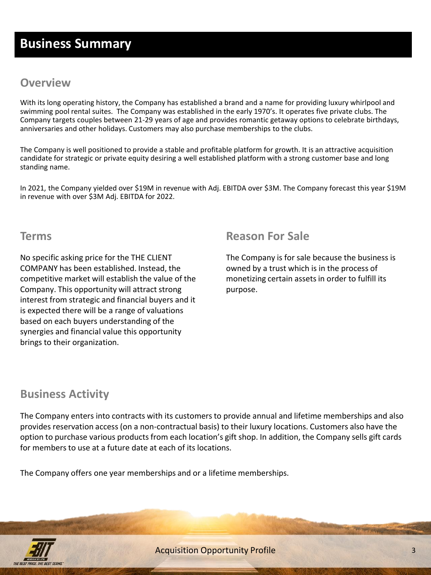# **Business Summary**

#### **Overview**

With its long operating history, the Company has established a brand and a name for providing luxury whirlpool and swimming pool rental suites. The Company was established in the early 1970's. It operates five private clubs. The Company targets couples between 21-29 years of age and provides romantic getaway options to celebrate birthdays, anniversaries and other holidays. Customers may also purchase memberships to the clubs.

The Company is well positioned to provide a stable and profitable platform for growth. It is an attractive acquisition candidate for strategic or private equity desiring a well established platform with a strong customer base and long standing name.

In 2021, the Company yielded over \$19M in revenue with Adj. EBITDA over \$3M. The Company forecast this year \$19M in revenue with over \$3M Adj. EBITDA for 2022.

#### **Terms**

No specific asking price for the THE CLIENT COMPANY has been established. Instead, the competitive market will establish the value of the Company. This opportunity will attract strong interest from strategic and financial buyers and it is expected there will be a range of valuations based on each buyers understanding of the synergies and financial value this opportunity brings to their organization.

### **Reason For Sale**

The Company is for sale because the business is owned by a trust which is in the process of monetizing certain assets in order to fulfill its purpose.

## **Business Activity**

The Company enters into contracts with its customers to provide annual and lifetime memberships and also provides reservation access (on a non-contractual basis) to their luxury locations. Customers also have the option to purchase various products from each location's gift shop. In addition, the Company sells gift cards for members to use at a future date at each of its locations.

The Company offers one year memberships and or a lifetime memberships.

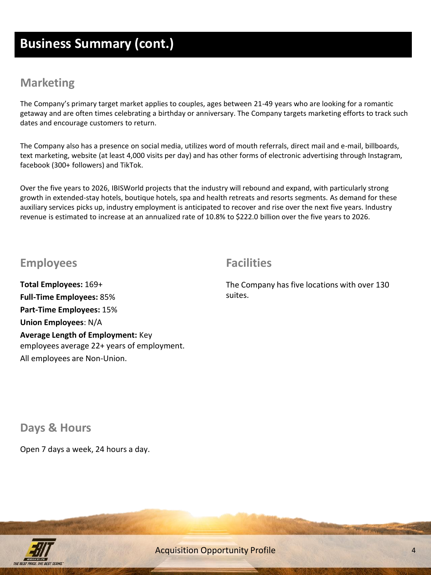## **Business Summary (cont.)**

#### **Marketing**

The Company's primary target market applies to couples, ages between 21-49 years who are looking for a romantic getaway and are often times celebrating a birthday or anniversary. The Company targets marketing efforts to track such dates and encourage customers to return.

The Company also has a presence on social media, utilizes word of mouth referrals, direct mail and e-mail, billboards, text marketing, website (at least 4,000 visits per day) and has other forms of electronic advertising through Instagram, facebook (300+ followers) and TikTok.

Over the five years to 2026, IBISWorld projects that the industry will rebound and expand, with particularly strong growth in extended-stay hotels, boutique hotels, spa and health retreats and resorts segments. As demand for these auxiliary services picks up, industry employment is anticipated to recover and rise over the next five years. Industry revenue is estimated to increase at an annualized rate of 10.8% to \$222.0 billion over the five years to 2026.

#### **Employees**

**Total Employees:** 169+ **Full-Time Employees:** 85% **Part-Time Employees:** 15% **Union Employees**: N/A **Average Length of Employment:** Key employees average 22+ years of employment. All employees are Non-Union.

## **Facilities**

The Company has five locations with over 130 suites.

**Days & Hours**

Open 7 days a week, 24 hours a day.



**Acquisition Opportunity Profile**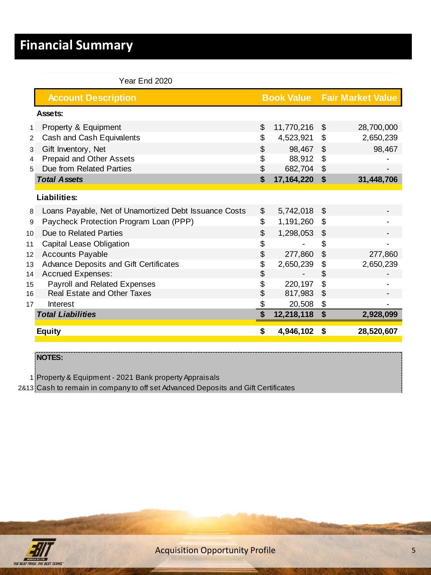# **Financial Summary**

|                 | Year End 2020                                         |    |            |          |                                     |
|-----------------|-------------------------------------------------------|----|------------|----------|-------------------------------------|
|                 | <b>Account Description</b>                            |    |            |          | <b>Book Value Fair Market Value</b> |
|                 | Assets:                                               |    |            |          |                                     |
| $\mathbf{1}$    | Property & Equipment                                  | \$ | 11,770,216 | \$       | 28,700,000                          |
| 2               | Cash and Cash Equivalents                             | \$ | 4,523,921  | \$       | 2,650,239                           |
| 3               | Gift Inventory, Net                                   | \$ | 98,467     | \$       | 98,467                              |
| 4               | Prepaid and Other Assets                              | \$ | 88,912     | \$       |                                     |
| 5               | Due from Related Parties                              | \$ | 682,704    | \$       |                                     |
|                 | <b>Total Assets</b>                                   | \$ | 17,164,220 | <b>S</b> | 31,448,706                          |
|                 | <b>Liabilities:</b>                                   |    |            |          |                                     |
| 8               | Loans Payable, Net of Unamortized Debt Issuance Costs | \$ | 5,742,018  | \$       |                                     |
| 9               | Paycheck Protection Program Loan (PPP)                | \$ | 1,191,260  | \$       |                                     |
| 10 <sup>1</sup> | Due to Related Parties                                | \$ | 1,298,053  | \$       |                                     |
| 11              | Capital Lease Obligation                              | \$ |            | \$       |                                     |
| 12 <sup>2</sup> | <b>Accounts Payable</b>                               | \$ | 277,860    | \$       | 277,860                             |
| 13              | Advance Deposits and Gift Certificates                | \$ | 2,650,239  | \$       | 2,650,239                           |
| 14              | Accrued Expenses:                                     | \$ |            | \$       |                                     |
| 15              | Payroll and Related Expenses                          | \$ | 220,197    | \$       |                                     |
| 16              | Real Estate and Other Taxes                           | \$ | 817,983    | \$       |                                     |
| 17              | Interest                                              | \$ | 20,508     | \$       |                                     |
|                 | <b>Total Liabilities</b>                              | \$ | 12,218,118 | \$       | 2,928,099                           |
|                 | <b>Equity</b>                                         | S  | 4,946,102  | \$       | 28,520,607                          |

**NOTES:**

1 Property & Equipment - 2021 Bank property Appraisals

2&13 Cash to remain in company to off set Advanced Deposits and Gift Certificates



**Acquisition Opportunity Profile** 5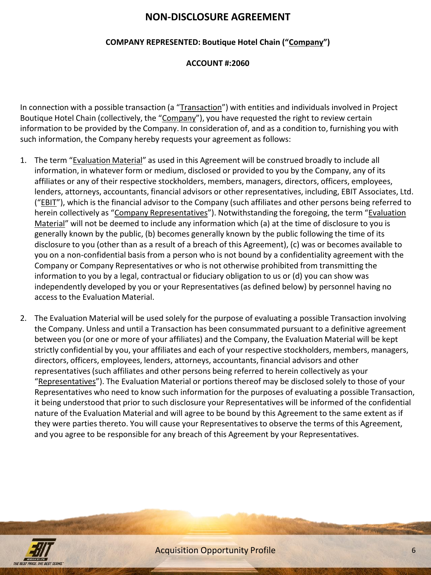#### **NON-DISCLOSURE AGREEMENT**

#### **COMPANY REPRESENTED: Boutique Hotel Chain ("Company")**

#### **ACCOUNT #:2060**

In connection with a possible transaction (a "Transaction") with entities and individuals involved in Project Boutique Hotel Chain (collectively, the "Company"), you have requested the right to review certain information to be provided by the Company. In consideration of, and as a condition to, furnishing you with such information, the Company hereby requests your agreement as follows:

- 1. The term "Evaluation Material" as used in this Agreement will be construed broadly to include all information, in whatever form or medium, disclosed or provided to you by the Company, any of its affiliates or any of their respective stockholders, members, managers, directors, officers, employees, lenders, attorneys, accountants, financial advisors or other representatives, including, EBIT Associates, Ltd. ("EBIT"), which is the financial advisor to the Company (such affiliates and other persons being referred to herein collectively as "Company Representatives"). Notwithstanding the foregoing, the term "Evaluation Material" will not be deemed to include any information which (a) at the time of disclosure to you is generally known by the public, (b) becomes generally known by the public following the time of its disclosure to you (other than as a result of a breach of this Agreement), (c) was or becomes available to you on a non-confidential basis from a person who is not bound by a confidentiality agreement with the Company or Company Representatives or who is not otherwise prohibited from transmitting the information to you by a legal, contractual or fiduciary obligation to us or (d) you can show was independently developed by you or your Representatives (as defined below) by personnel having no access to the Evaluation Material.
- 2. The Evaluation Material will be used solely for the purpose of evaluating a possible Transaction involving the Company. Unless and until a Transaction has been consummated pursuant to a definitive agreement between you (or one or more of your affiliates) and the Company, the Evaluation Material will be kept strictly confidential by you, your affiliates and each of your respective stockholders, members, managers, directors, officers, employees, lenders, attorneys, accountants, financial advisors and other representatives (such affiliates and other persons being referred to herein collectively as your "Representatives"). The Evaluation Material or portions thereof may be disclosed solely to those of your Representatives who need to know such information for the purposes of evaluating a possible Transaction, it being understood that prior to such disclosure your Representatives will be informed of the confidential nature of the Evaluation Material and will agree to be bound by this Agreement to the same extent as if they were parties thereto. You will cause your Representatives to observe the terms of this Agreement, and you agree to be responsible for any breach of this Agreement by your Representatives.

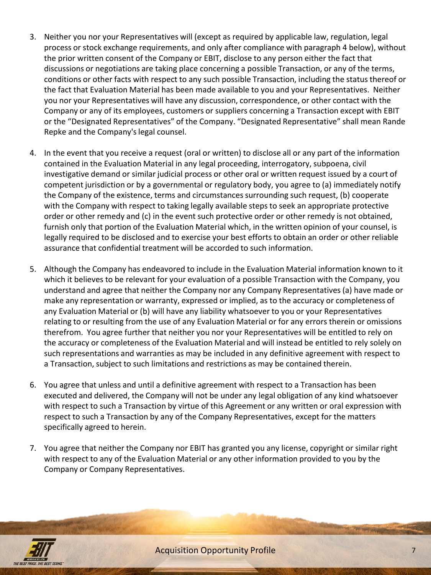- 3. Neither you nor your Representatives will (except as required by applicable law, regulation, legal process or stock exchange requirements, and only after compliance with paragraph 4 below), without the prior written consent of the Company or EBIT, disclose to any person either the fact that discussions or negotiations are taking place concerning a possible Transaction, or any of the terms, conditions or other facts with respect to any such possible Transaction, including the status thereof or the fact that Evaluation Material has been made available to you and your Representatives. Neither you nor your Representatives will have any discussion, correspondence, or other contact with the Company or any of its employees, customers or suppliers concerning a Transaction except with EBIT or the "Designated Representatives" of the Company. "Designated Representative" shall mean Rande Repke and the Company's legal counsel.
- 4. In the event that you receive a request (oral or written) to disclose all or any part of the information contained in the Evaluation Material in any legal proceeding, interrogatory, subpoena, civil investigative demand or similar judicial process or other oral or written request issued by a court of competent jurisdiction or by a governmental or regulatory body, you agree to (a) immediately notify the Company of the existence, terms and circumstances surrounding such request, (b) cooperate with the Company with respect to taking legally available steps to seek an appropriate protective order or other remedy and (c) in the event such protective order or other remedy is not obtained, furnish only that portion of the Evaluation Material which, in the written opinion of your counsel, is legally required to be disclosed and to exercise your best efforts to obtain an order or other reliable assurance that confidential treatment will be accorded to such information.
- 5. Although the Company has endeavored to include in the Evaluation Material information known to it which it believes to be relevant for your evaluation of a possible Transaction with the Company, you understand and agree that neither the Company nor any Company Representatives (a) have made or make any representation or warranty, expressed or implied, as to the accuracy or completeness of any Evaluation Material or (b) will have any liability whatsoever to you or your Representatives relating to or resulting from the use of any Evaluation Material or for any errors therein or omissions therefrom. You agree further that neither you nor your Representatives will be entitled to rely on the accuracy or completeness of the Evaluation Material and will instead be entitled to rely solely on such representations and warranties as may be included in any definitive agreement with respect to a Transaction, subject to such limitations and restrictions as may be contained therein.
- 6. You agree that unless and until a definitive agreement with respect to a Transaction has been executed and delivered, the Company will not be under any legal obligation of any kind whatsoever with respect to such a Transaction by virtue of this Agreement or any written or oral expression with respect to such a Transaction by any of the Company Representatives, except for the matters specifically agreed to herein.
- 7. You agree that neither the Company nor EBIT has granted you any license, copyright or similar right with respect to any of the Evaluation Material or any other information provided to you by the Company or Company Representatives.



**Acquisition Opportunity Profile** 7 **7**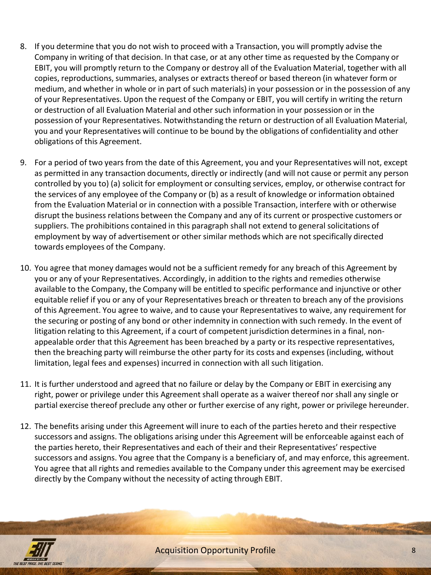- 8. If you determine that you do not wish to proceed with a Transaction, you will promptly advise the Company in writing of that decision. In that case, or at any other time as requested by the Company or EBIT, you will promptly return to the Company or destroy all of the Evaluation Material, together with all copies, reproductions, summaries, analyses or extracts thereof or based thereon (in whatever form or medium, and whether in whole or in part of such materials) in your possession or in the possession of any of your Representatives. Upon the request of the Company or EBIT, you will certify in writing the return or destruction of all Evaluation Material and other such information in your possession or in the possession of your Representatives. Notwithstanding the return or destruction of all Evaluation Material, you and your Representatives will continue to be bound by the obligations of confidentiality and other obligations of this Agreement.
- 9. For a period of two years from the date of this Agreement, you and your Representatives will not, except as permitted in any transaction documents, directly or indirectly (and will not cause or permit any person controlled by you to) (a) solicit for employment or consulting services, employ, or otherwise contract for the services of any employee of the Company or (b) as a result of knowledge or information obtained from the Evaluation Material or in connection with a possible Transaction, interfere with or otherwise disrupt the business relations between the Company and any of its current or prospective customers or suppliers. The prohibitions contained in this paragraph shall not extend to general solicitations of employment by way of advertisement or other similar methods which are not specifically directed towards employees of the Company.
- 10. You agree that money damages would not be a sufficient remedy for any breach of this Agreement by you or any of your Representatives. Accordingly, in addition to the rights and remedies otherwise available to the Company, the Company will be entitled to specific performance and injunctive or other equitable relief if you or any of your Representatives breach or threaten to breach any of the provisions of this Agreement. You agree to waive, and to cause your Representatives to waive, any requirement for the securing or posting of any bond or other indemnity in connection with such remedy. In the event of litigation relating to this Agreement, if a court of competent jurisdiction determines in a final, nonappealable order that this Agreement has been breached by a party or its respective representatives, then the breaching party will reimburse the other party for its costs and expenses (including, without limitation, legal fees and expenses) incurred in connection with all such litigation.
- 11. It is further understood and agreed that no failure or delay by the Company or EBIT in exercising any right, power or privilege under this Agreement shall operate as a waiver thereof nor shall any single or partial exercise thereof preclude any other or further exercise of any right, power or privilege hereunder.
- 12. The benefits arising under this Agreement will inure to each of the parties hereto and their respective successors and assigns. The obligations arising under this Agreement will be enforceable against each of the parties hereto, their Representatives and each of their and their Representatives' respective successors and assigns. You agree that the Company is a beneficiary of, and may enforce, this agreement. You agree that all rights and remedies available to the Company under this agreement may be exercised directly by the Company without the necessity of acting through EBIT.



Acquisition Opportunity Profile 8 8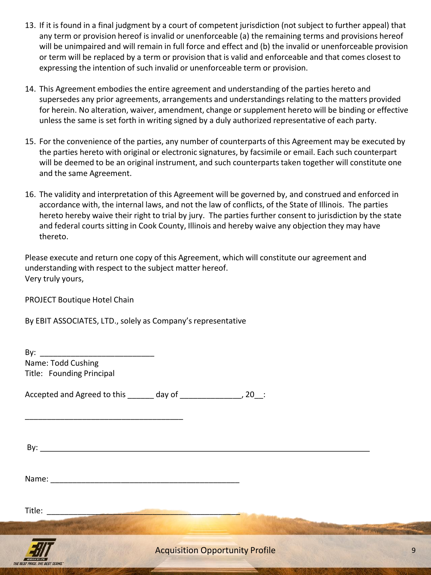- 13. If it is found in a final judgment by a court of competent jurisdiction (not subject to further appeal) that any term or provision hereof is invalid or unenforceable (a) the remaining terms and provisions hereof will be unimpaired and will remain in full force and effect and (b) the invalid or unenforceable provision or term will be replaced by a term or provision that is valid and enforceable and that comes closest to expressing the intention of such invalid or unenforceable term or provision.
- 14. This Agreement embodies the entire agreement and understanding of the parties hereto and supersedes any prior agreements, arrangements and understandings relating to the matters provided for herein. No alteration, waiver, amendment, change or supplement hereto will be binding or effective unless the same is set forth in writing signed by a duly authorized representative of each party.
- 15. For the convenience of the parties, any number of counterparts of this Agreement may be executed by the parties hereto with original or electronic signatures, by facsimile or email. Each such counterpart will be deemed to be an original instrument, and such counterparts taken together will constitute one and the same Agreement.
- 16. The validity and interpretation of this Agreement will be governed by, and construed and enforced in accordance with, the internal laws, and not the law of conflicts, of the State of Illinois. The parties hereto hereby waive their right to trial by jury. The parties further consent to jurisdiction by the state and federal courts sitting in Cook County, Illinois and hereby waive any objection they may have thereto.

Please execute and return one copy of this Agreement, which will constitute our agreement and understanding with respect to the subject matter hereof. Very truly yours,

PROJECT Boutique Hotel Chain

By EBIT ASSOCIATES, LTD., solely as Company's representative

By:  $\frac{1}{\sqrt{2}}$ Name: Todd Cushing Title: Founding Principal

Accepted and Agreed to this day of the control of the second section of the second section of the second section of the second section of the section of the section of the section of the section of the section of the secti

By: The contract of the contract of the contract of the contract of the contract of the contract of the contract of the contract of the contract of the contract of the contract of the contract of the contract of the contra

Name:

\_\_\_\_\_\_\_\_\_\_\_\_\_\_\_\_\_\_\_\_\_\_\_\_\_\_\_\_\_\_\_\_\_\_\_\_

Title: \_\_\_\_\_\_\_\_\_\_\_\_\_\_\_\_\_\_\_\_\_\_\_\_\_\_\_\_\_\_\_\_\_\_\_\_\_\_\_\_\_\_\_\_



Acquisition Opportunity Profile 9